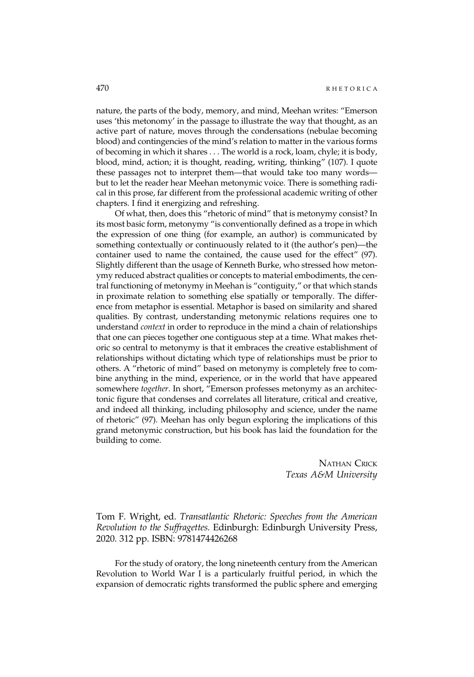nature, the parts of the body, memory, and mind, Meehan writes: "Emerson uses 'this metonomy' in the passage to illustrate the way that thought, as an active part of nature, moves through the condensations (nebulae becoming blood) and contingencies of the mind's relation to matter in the various forms of becoming in which it shares . . . The world is a rock, loam, chyle; it is body, blood, mind, action; it is thought, reading, writing, thinking" (107). I quote these passages not to interpret them—that would take too many words but to let the reader hear Meehan metonymic voice. There is something radical in this prose, far different from the professional academic writing of other chapters. I find it energizing and refreshing.

Of what, then, does this "rhetoric of mind" that is metonymy consist? In its most basic form, metonymy "is conventionally defined as a trope in which the expression of one thing (for example, an author) is communicated by something contextually or continuously related to it (the author's pen)—the container used to name the contained, the cause used for the effect" (97). Slightly different than the usage of Kenneth Burke, who stressed how metonymy reduced abstract qualities or concepts to material embodiments, the central functioning of metonymy in Meehan is "contiguity," or that which stands in proximate relation to something else spatially or temporally. The difference from metaphor is essential. Metaphor is based on similarity and shared qualities. By contrast, understanding metonymic relations requires one to understand context in order to reproduce in the mind a chain of relationships that one can pieces together one contiguous step at a time. What makes rhetoric so central to metonymy is that it embraces the creative establishment of relationships without dictating which type of relationships must be prior to others. A "rhetoric of mind" based on metonymy is completely free to combine anything in the mind, experience, or in the world that have appeared somewhere together. In short, "Emerson professes metonymy as an architectonic figure that condenses and correlates all literature, critical and creative, and indeed all thinking, including philosophy and science, under the name of rhetoric" (97). Meehan has only begun exploring the implications of this grand metonymic construction, but his book has laid the foundation for the building to come.

> NATHAN CRICK Texas A&M University

Tom F. Wright, ed. Transatlantic Rhetoric: Speeches from the American Revolution to the Suffragettes. Edinburgh: Edinburgh University Press, 2020. 312 pp. ISBN: 9781474426268

For the study of oratory, the long nineteenth century from the American Revolution to World War I is a particularly fruitful period, in which the expansion of democratic rights transformed the public sphere and emerging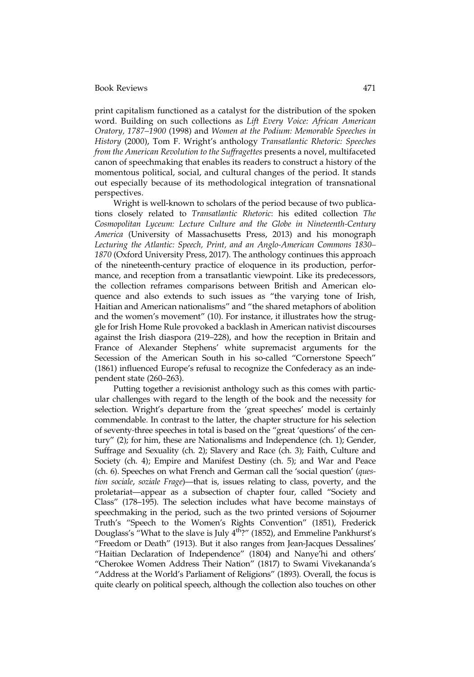print capitalism functioned as a catalyst for the distribution of the spoken word. Building on such collections as Lift Every Voice: African American Oratory, 1787–1900 (1998) and Women at the Podium: Memorable Speeches in History (2000), Tom F. Wright's anthology Transatlantic Rhetoric: Speeches from the American Revolution to the Suffragettes presents a novel, multifaceted canon of speechmaking that enables its readers to construct a history of the momentous political, social, and cultural changes of the period. It stands out especially because of its methodological integration of transnational perspectives.

Wright is well-known to scholars of the period because of two publications closely related to Transatlantic Rhetoric: his edited collection The Cosmopolitan Lyceum: Lecture Culture and the Globe in Nineteenth-Century America (University of Massachusetts Press, 2013) and his monograph Lecturing the Atlantic: Speech, Print, and an Anglo-American Commons 1830– 1870 (Oxford University Press, 2017). The anthology continues this approach of the nineteenth-century practice of eloquence in its production, performance, and reception from a transatlantic viewpoint. Like its predecessors, the collection reframes comparisons between British and American eloquence and also extends to such issues as "the varying tone of Irish, Haitian and American nationalisms" and "the shared metaphors of abolition and the women's movement" (10). For instance, it illustrates how the struggle for Irish Home Rule provoked a backlash in American nativist discourses against the Irish diaspora (219–228), and how the reception in Britain and France of Alexander Stephens' white supremacist arguments for the Secession of the American South in his so-called "Cornerstone Speech" (1861) influenced Europe's refusal to recognize the Confederacy as an independent state (260–263).

Putting together a revisionist anthology such as this comes with particular challenges with regard to the length of the book and the necessity for selection. Wright's departure from the 'great speeches' model is certainly commendable. In contrast to the latter, the chapter structure for his selection of seventy-three speeches in total is based on the "great 'questions' of the century" (2); for him, these are Nationalisms and Independence (ch. 1); Gender, Suffrage and Sexuality (ch. 2); Slavery and Race (ch. 3); Faith, Culture and Society (ch. 4); Empire and Manifest Destiny (ch. 5); and War and Peace (ch. 6). Speeches on what French and German call the 'social question' (question sociale, soziale Frage)—that is, issues relating to class, poverty, and the proletariat—appear as a subsection of chapter four, called "Society and Class" (178–195). The selection includes what have become mainstays of speechmaking in the period, such as the two printed versions of Sojourner Truth's "Speech to the Women's Rights Convention" (1851), Frederick Douglass's "What to the slave is July  $4^{th}$ ?" (1852), and Emmeline Pankhurst's "Freedom or Death" (1913). But it also ranges from Jean-Jacques Dessalines' "Haitian Declaration of Independence" (1804) and Nanye'hi and others' "Cherokee Women Address Their Nation" (1817) to Swami Vivekananda's "Address at the World's Parliament of Religions" (1893). Overall, the focus is quite clearly on political speech, although the collection also touches on other